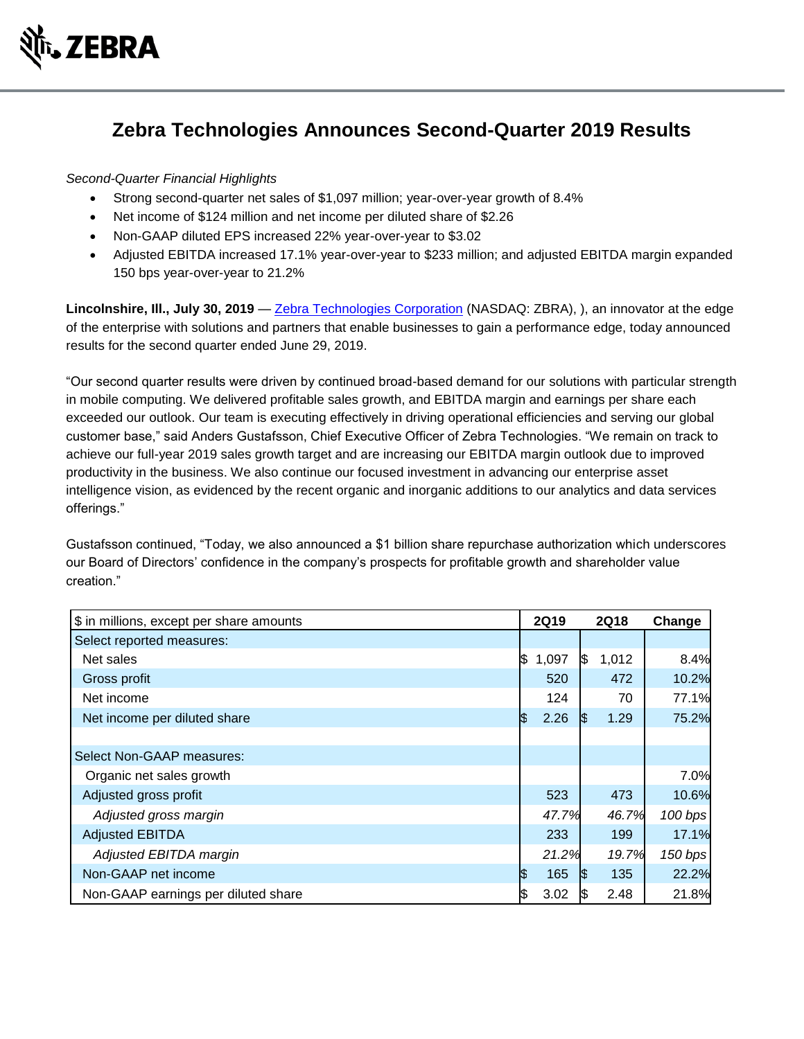

# **Zebra Technologies Announces Second-Quarter 2019 Results**

## *Second-Quarter Financial Highlights*

- Strong second-quarter net sales of \$1,097 million; year-over-year growth of 8.4%
- Net income of \$124 million and net income per diluted share of \$2.26
- Non-GAAP diluted EPS increased 22% year-over-year to \$3.02
- Adjusted EBITDA increased 17.1% year-over-year to \$233 million; and adjusted EBITDA margin expanded 150 bps year-over-year to 21.2%

Lincolnshire, III., July 30, 2019 — [Zebra Technologies Corporation](http://www.zebra.com/) (NASDAQ: ZBRA), ), an innovator at the edge of the enterprise with solutions and partners that enable businesses to gain a performance edge, today announced results for the second quarter ended June 29, 2019.

"Our second quarter results were driven by continued broad-based demand for our solutions with particular strength in mobile computing. We delivered profitable sales growth, and EBITDA margin and earnings per share each exceeded our outlook. Our team is executing effectively in driving operational efficiencies and serving our global customer base," said Anders Gustafsson, Chief Executive Officer of Zebra Technologies. "We remain on track to achieve our full-year 2019 sales growth target and are increasing our EBITDA margin outlook due to improved productivity in the business. We also continue our focused investment in advancing our enterprise asset intelligence vision, as evidenced by the recent organic and inorganic additions to our analytics and data services offerings."

Gustafsson continued, "Today, we also announced a \$1 billion share repurchase authorization which underscores our Board of Directors' confidence in the company's prospects for profitable growth and shareholder value creation."

| \$ in millions, except per share amounts |     | <b>2Q19</b> |     | <b>2Q18</b> | Change  |
|------------------------------------------|-----|-------------|-----|-------------|---------|
| Select reported measures:                |     |             |     |             |         |
| Net sales                                | 1\$ | 1,097       | I\$ | 1,012       | 8.4%    |
| Gross profit                             |     | 520         |     | 472         | 10.2%   |
| Net income                               |     | 124         |     | 70          | 77.1%   |
| Net income per diluted share             | ß.  | 2.26        | I\$ | 1.29        | 75.2%   |
|                                          |     |             |     |             |         |
| Select Non-GAAP measures:                |     |             |     |             |         |
| Organic net sales growth                 |     |             |     |             | 7.0%    |
| Adjusted gross profit                    |     | 523         |     | 473         | 10.6%   |
| Adjusted gross margin                    |     | 47.7%       |     | 46.7%       | 100 bps |
| <b>Adjusted EBITDA</b>                   |     | 233         |     | 199         | 17.1%   |
| Adjusted EBITDA margin                   |     | 21.2%       |     | 19.7%       | 150 bps |
| Non-GAAP net income                      | I\$ | 165         | 1\$ | 135         | 22.2%   |
| Non-GAAP earnings per diluted share      | \$  | 3.02        | 1\$ | 2.48        | 21.8%   |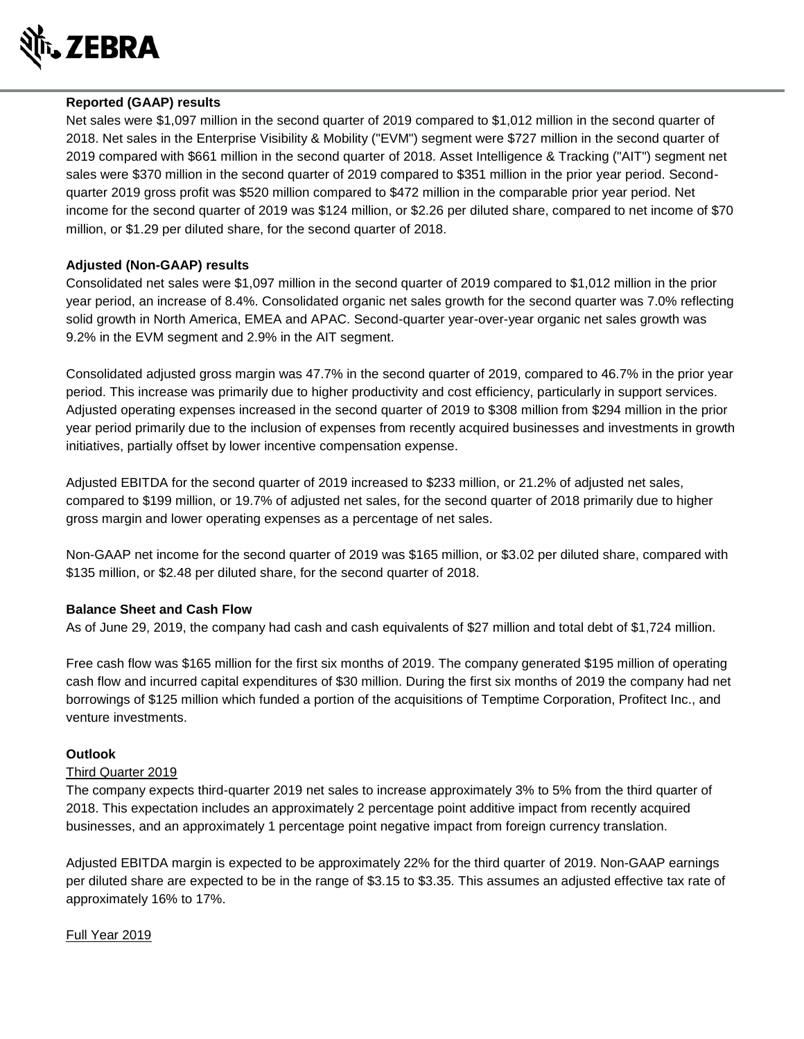

## **Reported (GAAP) results**

Net sales were \$1,097 million in the second quarter of 2019 compared to \$1,012 million in the second quarter of 2018. Net sales in the Enterprise Visibility & Mobility ("EVM") segment were \$727 million in the second quarter of 2019 compared with \$661 million in the second quarter of 2018. Asset Intelligence & Tracking ("AIT") segment net sales were \$370 million in the second quarter of 2019 compared to \$351 million in the prior year period. Secondquarter 2019 gross profit was \$520 million compared to \$472 million in the comparable prior year period. Net income for the second quarter of 2019 was \$124 million, or \$2.26 per diluted share, compared to net income of \$70 million, or \$1.29 per diluted share, for the second quarter of 2018.

## **Adjusted (Non-GAAP) results**

Consolidated net sales were \$1,097 million in the second quarter of 2019 compared to \$1,012 million in the prior year period, an increase of 8.4%. Consolidated organic net sales growth for the second quarter was 7.0% reflecting solid growth in North America, EMEA and APAC. Second-quarter year-over-year organic net sales growth was 9.2% in the EVM segment and 2.9% in the AIT segment.

Consolidated adjusted gross margin was 47.7% in the second quarter of 2019, compared to 46.7% in the prior year period. This increase was primarily due to higher productivity and cost efficiency, particularly in support services. Adjusted operating expenses increased in the second quarter of 2019 to \$308 million from \$294 million in the prior year period primarily due to the inclusion of expenses from recently acquired businesses and investments in growth initiatives, partially offset by lower incentive compensation expense.

Adjusted EBITDA for the second quarter of 2019 increased to \$233 million, or 21.2% of adjusted net sales, compared to \$199 million, or 19.7% of adjusted net sales, for the second quarter of 2018 primarily due to higher gross margin and lower operating expenses as a percentage of net sales.

Non-GAAP net income for the second quarter of 2019 was \$165 million, or \$3.02 per diluted share, compared with \$135 million, or \$2.48 per diluted share, for the second quarter of 2018.

#### **Balance Sheet and Cash Flow**

As of June 29, 2019, the company had cash and cash equivalents of \$27 million and total debt of \$1,724 million.

Free cash flow was \$165 million for the first six months of 2019. The company generated \$195 million of operating cash flow and incurred capital expenditures of \$30 million. During the first six months of 2019 the company had net borrowings of \$125 million which funded a portion of the acquisitions of Temptime Corporation, Profitect Inc., and venture investments.

#### **Outlook**

#### Third Quarter 2019

The company expects third-quarter 2019 net sales to increase approximately 3% to 5% from the third quarter of 2018. This expectation includes an approximately 2 percentage point additive impact from recently acquired businesses, and an approximately 1 percentage point negative impact from foreign currency translation.

Adjusted EBITDA margin is expected to be approximately 22% for the third quarter of 2019. Non-GAAP earnings per diluted share are expected to be in the range of \$3.15 to \$3.35. This assumes an adjusted effective tax rate of approximately 16% to 17%.

#### Full Year 2019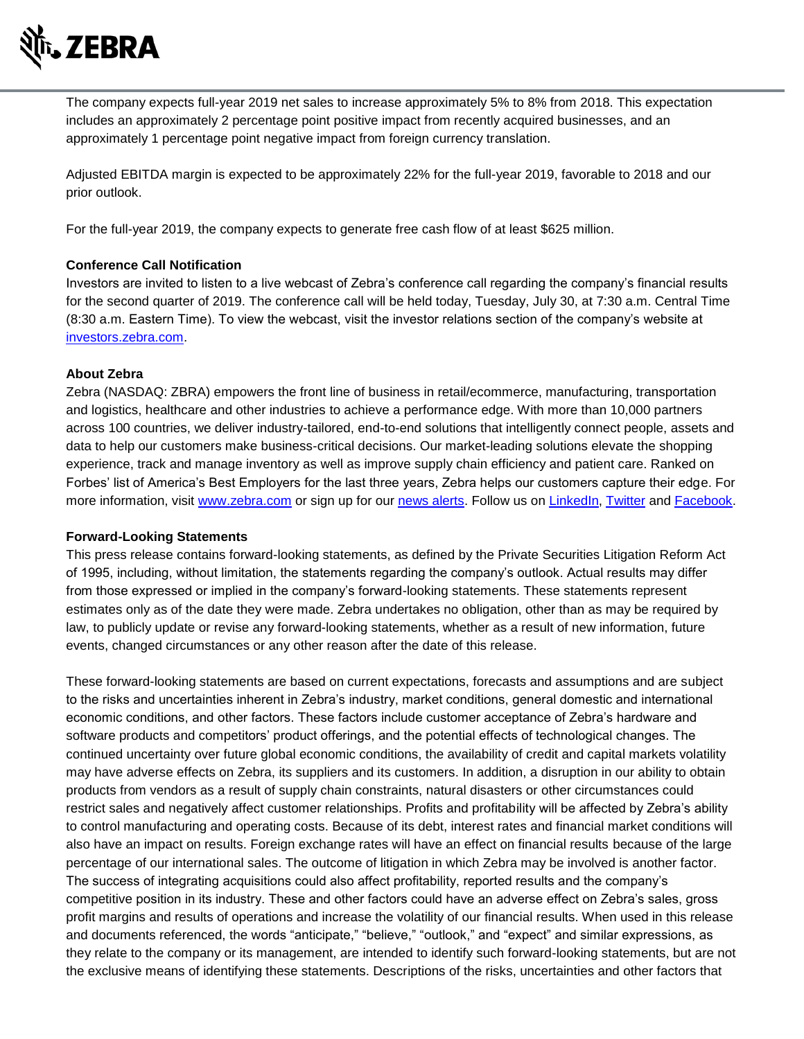

The company expects full-year 2019 net sales to increase approximately 5% to 8% from 2018. This expectation includes an approximately 2 percentage point positive impact from recently acquired businesses, and an approximately 1 percentage point negative impact from foreign currency translation.

Adjusted EBITDA margin is expected to be approximately 22% for the full-year 2019, favorable to 2018 and our prior outlook.

For the full-year 2019, the company expects to generate free cash flow of at least \$625 million.

## **Conference Call Notification**

Investors are invited to listen to a live webcast of Zebra's conference call regarding the company's financial results for the second quarter of 2019. The conference call will be held today, Tuesday, July 30, at 7:30 a.m. Central Time (8:30 a.m. Eastern Time). To view the webcast, visit the investor relations section of the company's website at [investors.zebra.com.](http://investors.zebra.com/)

## **About Zebra**

Zebra (NASDAQ: ZBRA) empowers the front line of business in retail/ecommerce, manufacturing, transportation and logistics, healthcare and other industries to achieve a performance edge. With more than 10,000 partners across 100 countries, we deliver industry-tailored, end-to-end solutions that intelligently connect people, assets and data to help our customers make business-critical decisions. Our market-leading solutions elevate the shopping experience, track and manage inventory as well as improve supply chain efficiency and patient care. Ranked on Forbes' list of America's Best Employers for the last three years, Zebra helps our customers capture their edge. For more information, visit [www.zebra.com](http://www.zebra.com/) or sign up for our [news alerts.](http://investors.zebra.com/information-request/alerts) Follow us on [LinkedIn,](https://www.linkedin.com/company/zebra-technologies) [Twitter](https://twitter.com/ZebraTechnology) and [Facebook.](https://www.facebook.com/ZebraTechnologiesGlobal)

#### **Forward-Looking Statements**

This press release contains forward-looking statements, as defined by the Private Securities Litigation Reform Act of 1995, including, without limitation, the statements regarding the company's outlook. Actual results may differ from those expressed or implied in the company's forward-looking statements. These statements represent estimates only as of the date they were made. Zebra undertakes no obligation, other than as may be required by law, to publicly update or revise any forward-looking statements, whether as a result of new information, future events, changed circumstances or any other reason after the date of this release.

These forward-looking statements are based on current expectations, forecasts and assumptions and are subject to the risks and uncertainties inherent in Zebra's industry, market conditions, general domestic and international economic conditions, and other factors. These factors include customer acceptance of Zebra's hardware and software products and competitors' product offerings, and the potential effects of technological changes. The continued uncertainty over future global economic conditions, the availability of credit and capital markets volatility may have adverse effects on Zebra, its suppliers and its customers. In addition, a disruption in our ability to obtain products from vendors as a result of supply chain constraints, natural disasters or other circumstances could restrict sales and negatively affect customer relationships. Profits and profitability will be affected by Zebra's ability to control manufacturing and operating costs. Because of its debt, interest rates and financial market conditions will also have an impact on results. Foreign exchange rates will have an effect on financial results because of the large percentage of our international sales. The outcome of litigation in which Zebra may be involved is another factor. The success of integrating acquisitions could also affect profitability, reported results and the company's competitive position in its industry. These and other factors could have an adverse effect on Zebra's sales, gross profit margins and results of operations and increase the volatility of our financial results. When used in this release and documents referenced, the words "anticipate," "believe," "outlook," and "expect" and similar expressions, as they relate to the company or its management, are intended to identify such forward-looking statements, but are not the exclusive means of identifying these statements. Descriptions of the risks, uncertainties and other factors that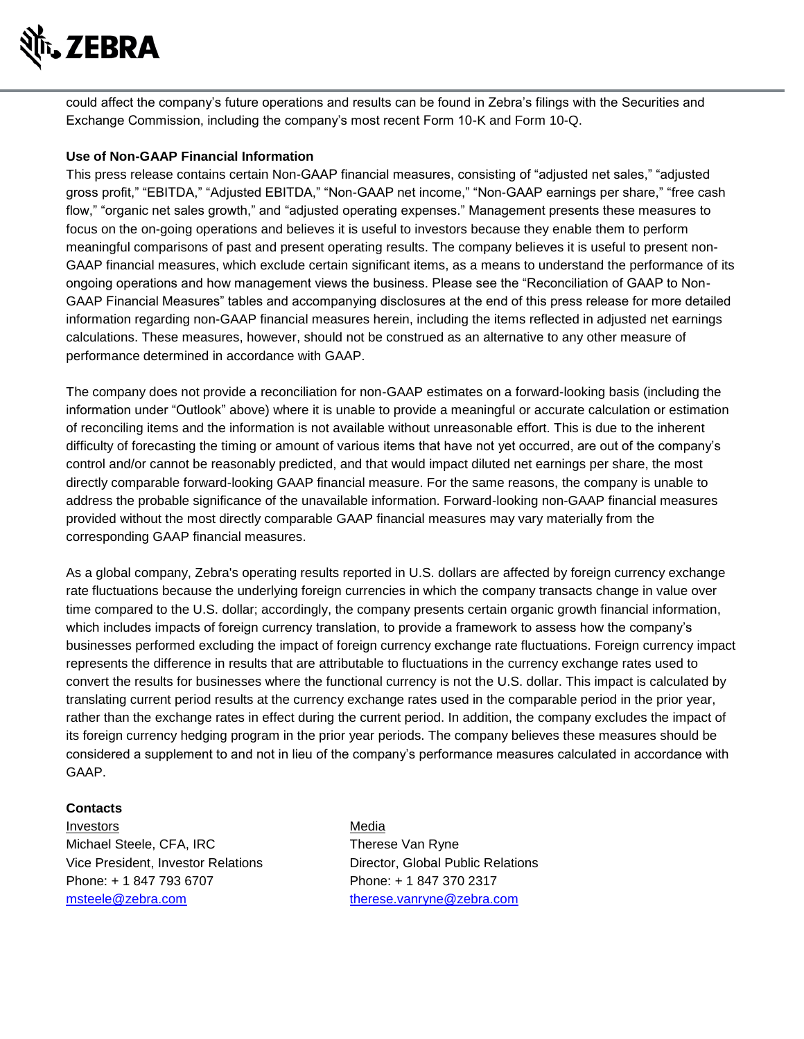

could affect the company's future operations and results can be found in Zebra's filings with the Securities and Exchange Commission, including the company's most recent Form 10-K and Form 10-Q.

## **Use of Non-GAAP Financial Information**

This press release contains certain Non-GAAP financial measures, consisting of "adjusted net sales," "adjusted gross profit," "EBITDA," "Adjusted EBITDA," "Non-GAAP net income," "Non-GAAP earnings per share," "free cash flow," "organic net sales growth," and "adjusted operating expenses." Management presents these measures to focus on the on-going operations and believes it is useful to investors because they enable them to perform meaningful comparisons of past and present operating results. The company believes it is useful to present non-GAAP financial measures, which exclude certain significant items, as a means to understand the performance of its ongoing operations and how management views the business. Please see the "Reconciliation of GAAP to Non-GAAP Financial Measures" tables and accompanying disclosures at the end of this press release for more detailed information regarding non-GAAP financial measures herein, including the items reflected in adjusted net earnings calculations. These measures, however, should not be construed as an alternative to any other measure of performance determined in accordance with GAAP.

The company does not provide a reconciliation for non-GAAP estimates on a forward-looking basis (including the information under "Outlook" above) where it is unable to provide a meaningful or accurate calculation or estimation of reconciling items and the information is not available without unreasonable effort. This is due to the inherent difficulty of forecasting the timing or amount of various items that have not yet occurred, are out of the company's control and/or cannot be reasonably predicted, and that would impact diluted net earnings per share, the most directly comparable forward-looking GAAP financial measure. For the same reasons, the company is unable to address the probable significance of the unavailable information. Forward-looking non-GAAP financial measures provided without the most directly comparable GAAP financial measures may vary materially from the corresponding GAAP financial measures.

As a global company, Zebra's operating results reported in U.S. dollars are affected by foreign currency exchange rate fluctuations because the underlying foreign currencies in which the company transacts change in value over time compared to the U.S. dollar; accordingly, the company presents certain organic growth financial information, which includes impacts of foreign currency translation, to provide a framework to assess how the company's businesses performed excluding the impact of foreign currency exchange rate fluctuations. Foreign currency impact represents the difference in results that are attributable to fluctuations in the currency exchange rates used to convert the results for businesses where the functional currency is not the U.S. dollar. This impact is calculated by translating current period results at the currency exchange rates used in the comparable period in the prior year, rather than the exchange rates in effect during the current period. In addition, the company excludes the impact of its foreign currency hedging program in the prior year periods. The company believes these measures should be considered a supplement to and not in lieu of the company's performance measures calculated in accordance with GAAP.

#### **Contacts**

Investors Media Michael Steele, CFA, IRC Therese Van Ryne Vice President, Investor Relations Director, Global Public Relations Phone: + 1 847 793 6707 Phone: + 1 847 370 2317 [msteele@zebra.com](mailto:msteele@zebra.com) [therese.vanryne@zebra.com](mailto:therese.vanryne@zebra.com)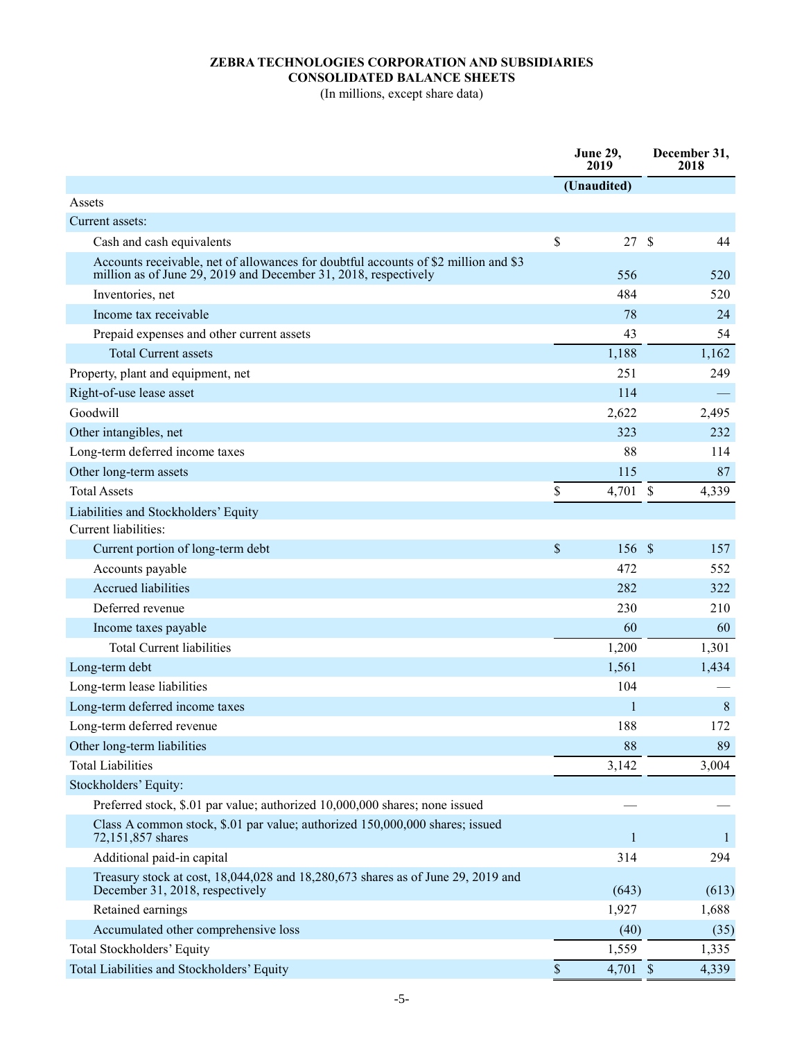## **ZEBRA TECHNOLOGIES CORPORATION AND SUBSIDIARIES CONSOLIDATED BALANCE SHEETS**

(In millions, except share data)

|                                                                                                                                                        | <b>June 29,</b><br>2019 |               | December 31,<br>2018 |
|--------------------------------------------------------------------------------------------------------------------------------------------------------|-------------------------|---------------|----------------------|
|                                                                                                                                                        | (Unaudited)             |               |                      |
| Assets                                                                                                                                                 |                         |               |                      |
| Current assets:                                                                                                                                        |                         |               |                      |
| Cash and cash equivalents                                                                                                                              | \$<br>27                | $\mathcal{S}$ | 44                   |
| Accounts receivable, net of allowances for doubtful accounts of \$2 million and \$3<br>million as of June 29, 2019 and December 31, 2018, respectively | 556                     |               | 520                  |
| Inventories, net                                                                                                                                       | 484                     |               | 520                  |
| Income tax receivable                                                                                                                                  | 78                      |               | 24                   |
| Prepaid expenses and other current assets                                                                                                              | 43                      |               | 54                   |
| <b>Total Current assets</b>                                                                                                                            | 1,188                   |               | 1,162                |
| Property, plant and equipment, net                                                                                                                     | 251                     |               | 249                  |
| Right-of-use lease asset                                                                                                                               | 114                     |               |                      |
| Goodwill                                                                                                                                               | 2,622                   |               | 2,495                |
| Other intangibles, net                                                                                                                                 | 323                     |               | 232                  |
| Long-term deferred income taxes                                                                                                                        | 88                      |               | 114                  |
| Other long-term assets                                                                                                                                 | 115                     |               | 87                   |
| <b>Total Assets</b>                                                                                                                                    | \$<br>4,701 \$          |               | 4,339                |
| Liabilities and Stockholders' Equity                                                                                                                   |                         |               |                      |
| Current liabilities:                                                                                                                                   |                         |               |                      |
| Current portion of long-term debt                                                                                                                      | \$<br>156 \$            |               | 157                  |
| Accounts payable                                                                                                                                       | 472                     |               | 552                  |
| <b>Accrued liabilities</b>                                                                                                                             | 282                     |               | 322                  |
| Deferred revenue                                                                                                                                       | 230                     |               | 210                  |
| Income taxes payable                                                                                                                                   | 60                      |               | 60                   |
| <b>Total Current liabilities</b>                                                                                                                       | 1,200                   |               | 1,301                |
| Long-term debt                                                                                                                                         | 1,561                   |               | 1,434                |
| Long-term lease liabilities                                                                                                                            | 104                     |               |                      |
| Long-term deferred income taxes                                                                                                                        | 1                       |               | 8                    |
| Long-term deferred revenue                                                                                                                             | 188                     |               | 172                  |
| Other long-term liabilities                                                                                                                            | 88                      |               | 89                   |
| <b>Total Liabilities</b>                                                                                                                               | 3,142                   |               | 3,004                |
| Stockholders' Equity:                                                                                                                                  |                         |               |                      |
| Preferred stock, \$.01 par value; authorized 10,000,000 shares; none issued                                                                            |                         |               |                      |
| Class A common stock, \$.01 par value; authorized 150,000,000 shares; issued<br>72,151,857 shares                                                      | 1                       |               | -1                   |
| Additional paid-in capital                                                                                                                             | 314                     |               | 294                  |
| Treasury stock at cost, 18,044,028 and 18,280,673 shares as of June 29, 2019 and<br>December 31, 2018, respectively                                    | (643)                   |               | (613)                |
| Retained earnings                                                                                                                                      | 1,927                   |               | 1,688                |
| Accumulated other comprehensive loss                                                                                                                   | (40)                    |               | (35)                 |
| Total Stockholders' Equity                                                                                                                             | 1,559                   |               | 1,335                |
| Total Liabilities and Stockholders' Equity                                                                                                             | \$<br>4,701 \$          |               | 4,339                |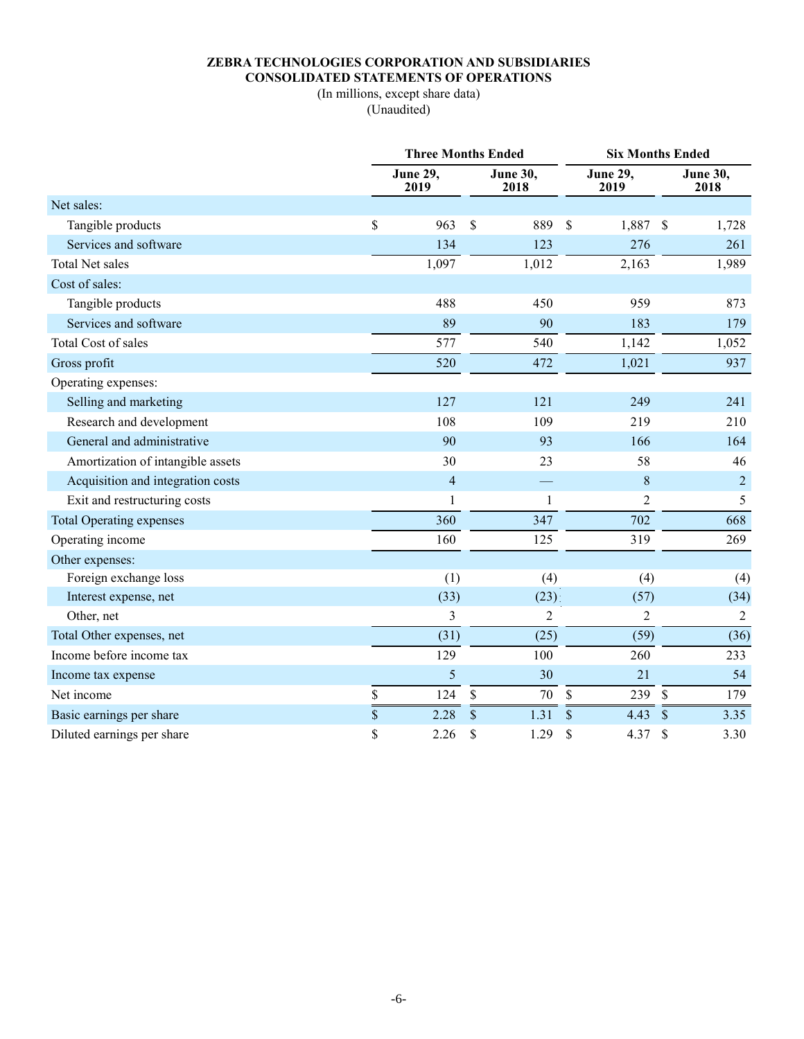# **ZEBRA TECHNOLOGIES CORPORATION AND SUBSIDIARIES CONSOLIDATED STATEMENTS OF OPERATIONS**

(In millions, except share data) (Unaudited)

|                                   | <b>Three Months Ended</b> |               |                         |                    |                         | <b>Six Months Ended</b> |                         |  |  |
|-----------------------------------|---------------------------|---------------|-------------------------|--------------------|-------------------------|-------------------------|-------------------------|--|--|
|                                   | <b>June 29,</b><br>2019   |               | <b>June 30,</b><br>2018 |                    | <b>June 29,</b><br>2019 |                         | <b>June 30,</b><br>2018 |  |  |
| Net sales:                        |                           |               |                         |                    |                         |                         |                         |  |  |
| Tangible products                 | \$<br>963                 | \$            | 889                     | \$                 | 1,887                   | $\mathcal{S}$           | 1,728                   |  |  |
| Services and software             | 134                       |               | 123                     |                    | 276                     |                         | 261                     |  |  |
| <b>Total Net sales</b>            | 1,097                     |               | 1,012                   |                    | 2,163                   |                         | 1,989                   |  |  |
| Cost of sales:                    |                           |               |                         |                    |                         |                         |                         |  |  |
| Tangible products                 | 488                       |               | 450                     |                    | 959                     |                         | 873                     |  |  |
| Services and software             | 89                        |               | 90                      |                    | 183                     |                         | 179                     |  |  |
| Total Cost of sales               | 577                       |               | 540                     |                    | 1,142                   |                         | 1,052                   |  |  |
| Gross profit                      | 520                       |               | 472                     |                    | 1,021                   |                         | 937                     |  |  |
| Operating expenses:               |                           |               |                         |                    |                         |                         |                         |  |  |
| Selling and marketing             | 127                       |               | 121                     |                    | 249                     |                         | 241                     |  |  |
| Research and development          | 108                       |               | 109                     |                    | 219                     |                         | 210                     |  |  |
| General and administrative        | 90                        |               | 93                      |                    | 166                     |                         | 164                     |  |  |
| Amortization of intangible assets | 30                        |               | 23                      |                    | 58                      |                         | 46                      |  |  |
| Acquisition and integration costs | $\overline{4}$            |               |                         |                    | 8                       |                         | $\sqrt{2}$              |  |  |
| Exit and restructuring costs      | 1                         |               | $\mathbf{1}$            |                    | $\overline{2}$          |                         | 5                       |  |  |
| <b>Total Operating expenses</b>   | 360                       |               | 347                     |                    | 702                     |                         | 668                     |  |  |
| Operating income                  | 160                       |               | 125                     |                    | 319                     |                         | 269                     |  |  |
| Other expenses:                   |                           |               |                         |                    |                         |                         |                         |  |  |
| Foreign exchange loss             | (1)                       |               | (4)                     |                    | (4)                     |                         | (4)                     |  |  |
| Interest expense, net             | (33)                      |               | (23)                    |                    | (57)                    |                         | (34)                    |  |  |
| Other, net                        | 3                         |               | $\overline{c}$          |                    | 2                       |                         | 2                       |  |  |
| Total Other expenses, net         | (31)                      |               | (25)                    |                    | (59)                    |                         | (36)                    |  |  |
| Income before income tax          | 129                       |               | 100                     |                    | 260                     |                         | 233                     |  |  |
| Income tax expense                | 5                         |               | 30                      |                    | 21                      |                         | 54                      |  |  |
| Net income                        | \$<br>124                 | \$            | 70                      | $\mathbf{\hat{S}}$ | 239                     | $\mathcal{S}$           | 179                     |  |  |
| Basic earnings per share          | \$<br>2.28                | $\mathcal{S}$ | 1.31                    | \$                 | 4.43                    | $\mathcal{S}$           | 3.35                    |  |  |
| Diluted earnings per share        | \$<br>2.26                | \$            | 1.29                    | \$                 | 4.37                    | $\mathcal{S}$           | 3.30                    |  |  |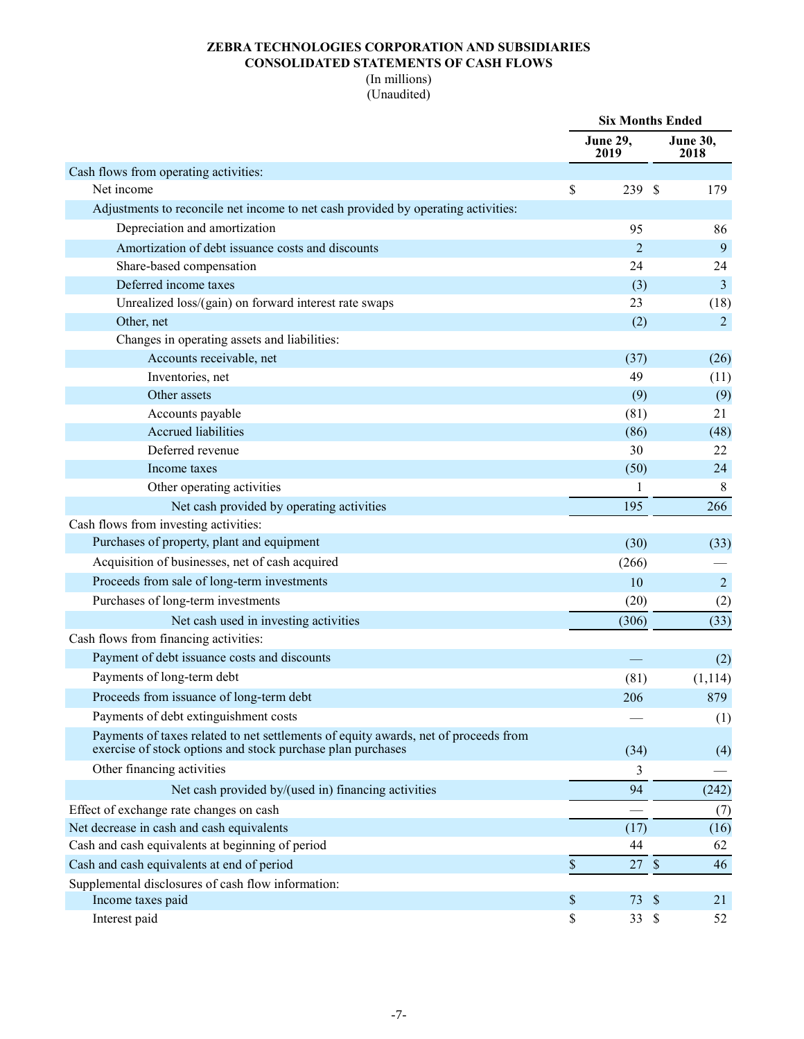## **ZEBRA TECHNOLOGIES CORPORATION AND SUBSIDIARIES CONSOLIDATED STATEMENTS OF CASH FLOWS**

# (In millions)

(Unaudited)

|                                                                                                                                                    |    | <b>Six Months Ended</b> |  |                         |
|----------------------------------------------------------------------------------------------------------------------------------------------------|----|-------------------------|--|-------------------------|
|                                                                                                                                                    |    | <b>June 29,</b><br>2019 |  | <b>June 30,</b><br>2018 |
| Cash flows from operating activities:                                                                                                              |    |                         |  |                         |
| Net income                                                                                                                                         | \$ | 239 \$                  |  | 179                     |
| Adjustments to reconcile net income to net cash provided by operating activities:                                                                  |    |                         |  |                         |
| Depreciation and amortization                                                                                                                      |    | 95                      |  | 86                      |
| Amortization of debt issuance costs and discounts                                                                                                  |    | $\overline{2}$          |  | 9                       |
| Share-based compensation                                                                                                                           |    | 24                      |  | 24                      |
| Deferred income taxes                                                                                                                              |    | (3)                     |  | 3                       |
| Unrealized loss/(gain) on forward interest rate swaps                                                                                              |    | 23                      |  | (18)                    |
| Other, net                                                                                                                                         |    | (2)                     |  | 2                       |
| Changes in operating assets and liabilities:                                                                                                       |    |                         |  |                         |
| Accounts receivable, net                                                                                                                           |    | (37)                    |  | (26)                    |
| Inventories, net                                                                                                                                   |    | 49                      |  | (11)                    |
| Other assets                                                                                                                                       |    | (9)                     |  | (9)                     |
| Accounts payable                                                                                                                                   |    | (81)                    |  | 21                      |
| Accrued liabilities                                                                                                                                |    | (86)                    |  | (48)                    |
| Deferred revenue                                                                                                                                   |    | 30                      |  | 22                      |
| Income taxes                                                                                                                                       |    | (50)                    |  | 24                      |
| Other operating activities                                                                                                                         |    | 1                       |  | $\,8\,$                 |
| Net cash provided by operating activities                                                                                                          |    | 195                     |  | 266                     |
| Cash flows from investing activities:                                                                                                              |    |                         |  |                         |
| Purchases of property, plant and equipment                                                                                                         |    | (30)                    |  | (33)                    |
| Acquisition of businesses, net of cash acquired                                                                                                    |    | (266)                   |  |                         |
| Proceeds from sale of long-term investments                                                                                                        |    | 10                      |  | $\overline{2}$          |
| Purchases of long-term investments                                                                                                                 |    | (20)                    |  | (2)                     |
| Net cash used in investing activities                                                                                                              |    | (306)                   |  | (33)                    |
| Cash flows from financing activities:                                                                                                              |    |                         |  |                         |
| Payment of debt issuance costs and discounts                                                                                                       |    |                         |  | (2)                     |
| Payments of long-term debt                                                                                                                         |    | (81)                    |  | (1, 114)                |
| Proceeds from issuance of long-term debt                                                                                                           |    | 206                     |  | 879                     |
| Payments of debt extinguishment costs                                                                                                              |    |                         |  | (1)                     |
| Payments of taxes related to net settlements of equity awards, net of proceeds from<br>exercise of stock options and stock purchase plan purchases |    | (34)                    |  | (4)                     |
| Other financing activities                                                                                                                         |    | 3                       |  |                         |
| Net cash provided by/(used in) financing activities                                                                                                |    | 94                      |  | (242)                   |
| Effect of exchange rate changes on cash                                                                                                            |    |                         |  | (7)                     |
| Net decrease in cash and cash equivalents                                                                                                          |    | (17)                    |  | (16)                    |
| Cash and cash equivalents at beginning of period                                                                                                   |    | 44                      |  | 62                      |
| Cash and cash equivalents at end of period                                                                                                         | \$ | 27S                     |  | 46                      |
| Supplemental disclosures of cash flow information:                                                                                                 |    |                         |  |                         |
| Income taxes paid                                                                                                                                  | \$ | 73 \$                   |  | 21                      |
| Interest paid                                                                                                                                      | \$ | 33 \$                   |  | 52                      |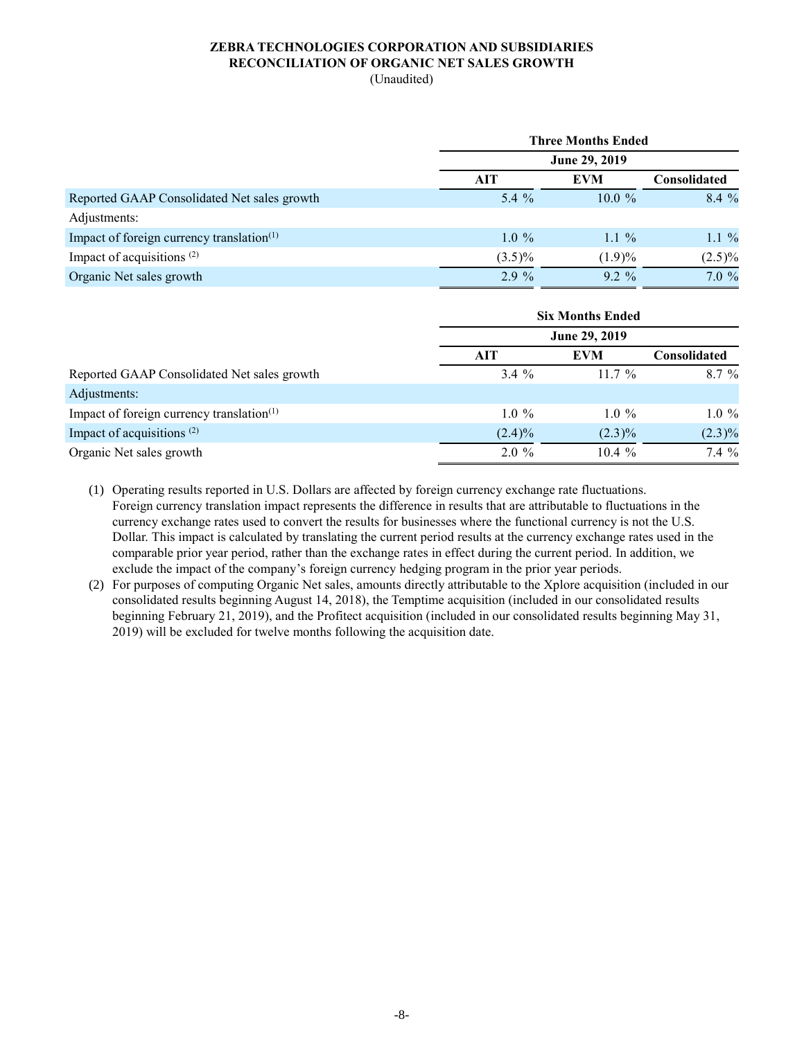#### **ZEBRA TECHNOLOGIES CORPORATION AND SUBSIDIARIES RECONCILIATION OF ORGANIC NET SALES GROWTH** (Unaudited)

|                                                       |           | <b>Three Months Ended</b> |                     |  |  |  |  |  |  |
|-------------------------------------------------------|-----------|---------------------------|---------------------|--|--|--|--|--|--|
|                                                       |           | June 29, 2019             |                     |  |  |  |  |  |  |
|                                                       | AIT       | <b>EVM</b>                | <b>Consolidated</b> |  |  |  |  |  |  |
| Reported GAAP Consolidated Net sales growth           | 5.4 $%$   | $10.0 \%$                 | $8.4\%$             |  |  |  |  |  |  |
| Adjustments:                                          |           |                           |                     |  |  |  |  |  |  |
| Impact of foreign currency translation <sup>(1)</sup> | $1.0\%$   | $1.1\%$                   | $1.1\%$             |  |  |  |  |  |  |
| Impact of acquisitions $(2)$                          | $(3.5)\%$ | (1.9)%                    | $(2.5)\%$           |  |  |  |  |  |  |
| Organic Net sales growth                              | $2.9\%$   | $9.2\%$                   | 7.0 %               |  |  |  |  |  |  |

|                                              |           | <b>Six Months Ended</b> |                     |  |  |  |  |  |  |
|----------------------------------------------|-----------|-------------------------|---------------------|--|--|--|--|--|--|
|                                              |           | June 29, 2019           |                     |  |  |  |  |  |  |
|                                              | AIT       | <b>EVM</b>              | <b>Consolidated</b> |  |  |  |  |  |  |
| Reported GAAP Consolidated Net sales growth  | $3.4\%$   | $11.7\%$                | $8.7\%$             |  |  |  |  |  |  |
| Adjustments:                                 |           |                         |                     |  |  |  |  |  |  |
| Impact of foreign currency translation $(1)$ | $1.0\%$   | $1.0\%$                 | $1.0\%$             |  |  |  |  |  |  |
| Impact of acquisitions <sup>(2)</sup>        | $(2.4)\%$ | $(2.3)\%$               | $(2.3)\%$           |  |  |  |  |  |  |
| Organic Net sales growth                     | $2.0\%$   | $10.4 \%$               | 7.4 %               |  |  |  |  |  |  |

(1) Operating results reported in U.S. Dollars are affected by foreign currency exchange rate fluctuations. Foreign currency translation impact represents the difference in results that are attributable to fluctuations in the currency exchange rates used to convert the results for businesses where the functional currency is not the U.S. Dollar. This impact is calculated by translating the current period results at the currency exchange rates used in the comparable prior year period, rather than the exchange rates in effect during the current period. In addition, we exclude the impact of the company's foreign currency hedging program in the prior year periods.

(2) For purposes of computing Organic Net sales, amounts directly attributable to the Xplore acquisition (included in our consolidated results beginning August 14, 2018), the Temptime acquisition (included in our consolidated results beginning February 21, 2019), and the Profitect acquisition (included in our consolidated results beginning May 31, 2019) will be excluded for twelve months following the acquisition date.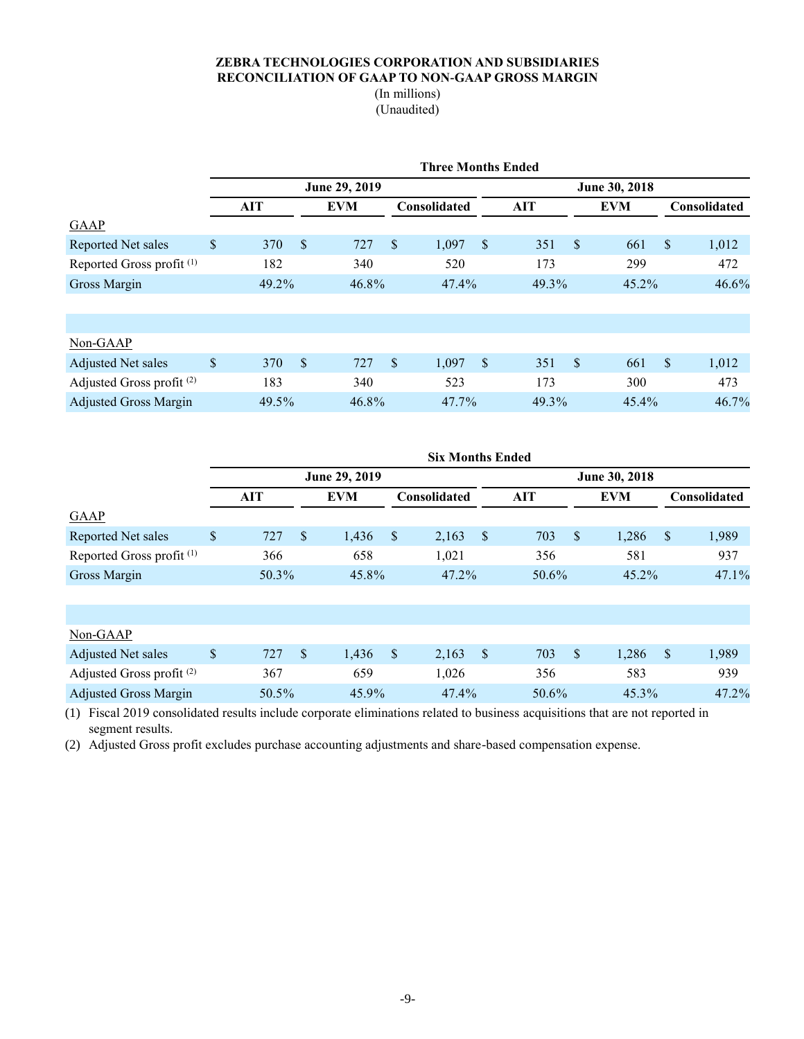## **ZEBRA TECHNOLOGIES CORPORATION AND SUBSIDIARIES RECONCILIATION OF GAAP TO NON-GAAP GROSS MARGIN**

## (In millions) (Unaudited)

|                                      | <b>Three Months Ended</b> |            |               |            |               |              |                        |               |               |            |                           |              |  |
|--------------------------------------|---------------------------|------------|---------------|------------|---------------|--------------|------------------------|---------------|---------------|------------|---------------------------|--------------|--|
|                                      | June 29, 2019             |            |               |            |               |              |                        | June 30, 2018 |               |            |                           |              |  |
|                                      |                           | <b>AIT</b> |               | <b>EVM</b> |               | Consolidated |                        | <b>AIT</b>    |               | <b>EVM</b> |                           | Consolidated |  |
| <b>GAAP</b>                          |                           |            |               |            |               |              |                        |               |               |            |                           |              |  |
| Reported Net sales                   | \$                        | 370        | $\mathcal{S}$ | 727        | $\sqrt$       | 1,097        | <sup>S</sup>           | 351           | $\sqrt{3}$    | 661        | $\sqrt$                   | 1,012        |  |
| Reported Gross profit <sup>(1)</sup> |                           | 182        |               | 340        |               | 520          |                        | 173           |               | 299        |                           | 472          |  |
| Gross Margin                         |                           | 49.2%      |               | 46.8%      |               | 47.4%        |                        | 49.3%         |               | 45.2%      |                           | 46.6%        |  |
|                                      |                           |            |               |            |               |              |                        |               |               |            |                           |              |  |
|                                      |                           |            |               |            |               |              |                        |               |               |            |                           |              |  |
| Non-GAAP                             |                           |            |               |            |               |              |                        |               |               |            |                           |              |  |
| Adjusted Net sales                   | \$                        | 370        | $\mathcal{S}$ | 727        | $\mathbf{\$}$ | 1,097        | $\mathbf{\mathcal{S}}$ | 351           | <sup>\$</sup> | 661        | $\boldsymbol{\mathsf{S}}$ | 1,012        |  |
| Adjusted Gross profit <sup>(2)</sup> |                           | 183        |               | 340        |               | 523          |                        | 173           |               | 300        |                           | 473          |  |
| <b>Adjusted Gross Margin</b>         |                           | 49.5%      |               | 46.8%      |               | 47.7%        |                        | 49.3%         |               | 45.4%      |                           | 46.7%        |  |

|                                      | <b>Six Months Ended</b> |               |               |            |         |              |              |       |               |            |              |              |
|--------------------------------------|-------------------------|---------------|---------------|------------|---------|--------------|--------------|-------|---------------|------------|--------------|--------------|
|                                      |                         | June 29, 2019 |               |            |         |              |              |       |               |            |              |              |
|                                      |                         | AIT           |               | <b>EVM</b> |         | Consolidated |              | AIT   |               | <b>EVM</b> |              | Consolidated |
| <b>GAAP</b>                          |                         |               |               |            |         |              |              |       |               |            |              |              |
| Reported Net sales                   | \$                      | 727           | <sup>\$</sup> | 1,436      | $\sqrt$ | 2,163        | $\mathbb{S}$ | 703   | <sup>\$</sup> | 1,286      | $\mathbb{S}$ | 1,989        |
| Reported Gross profit <sup>(1)</sup> |                         | 366           |               | 658        |         | 1,021        |              | 356   |               | 581        |              | 937          |
| Gross Margin                         |                         | 50.3%         |               | 45.8%      |         | $47.2\%$     |              | 50.6% |               | 45.2%      |              | 47.1%        |
|                                      |                         |               |               |            |         |              |              |       |               |            |              |              |
|                                      |                         |               |               |            |         |              |              |       |               |            |              |              |
| Non-GAAP                             |                         |               |               |            |         |              |              |       |               |            |              |              |
| Adjusted Net sales                   | \$                      | 727           | <sup>\$</sup> | 1,436      | \$      | 2,163        | $\mathbb{S}$ | 703   | $\mathbb{S}$  | 1,286      | $\mathbb{S}$ | 1,989        |
| Adjusted Gross profit <sup>(2)</sup> |                         | 367           |               | 659        |         | 1,026        |              | 356   |               | 583        |              | 939          |
| <b>Adjusted Gross Margin</b>         |                         | 50.5%         |               | 45.9%      |         | 47.4%        |              | 50.6% |               | 45.3%      |              | 47.2%        |

(1) Fiscal 2019 consolidated results include corporate eliminations related to business acquisitions that are not reported in segment results.

(2) Adjusted Gross profit excludes purchase accounting adjustments and share-based compensation expense.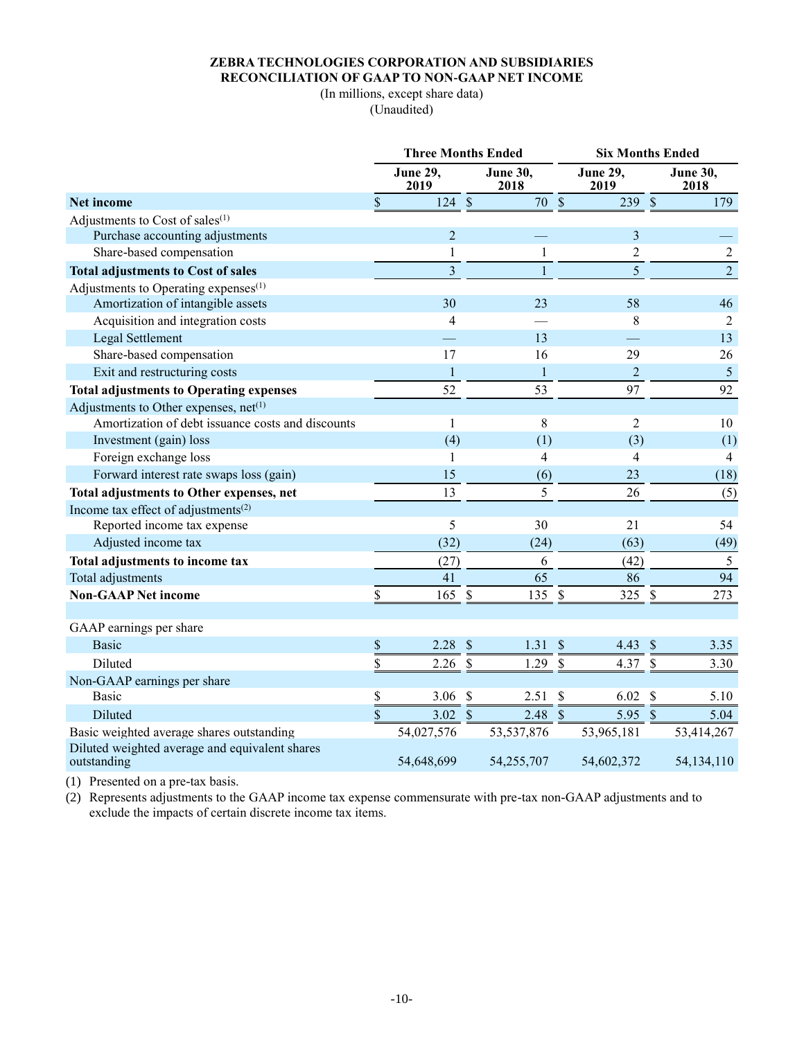#### **ZEBRA TECHNOLOGIES CORPORATION AND SUBSIDIARIES RECONCILIATION OF GAAP TO NON-GAAP NET INCOME**

(In millions, except share data) (Unaudited)

|                                                               | <b>Three Months Ended</b> |                         |                           |                         |                          | <b>Six Months Ended</b> |                           |                         |  |
|---------------------------------------------------------------|---------------------------|-------------------------|---------------------------|-------------------------|--------------------------|-------------------------|---------------------------|-------------------------|--|
|                                                               |                           | <b>June 29,</b><br>2019 |                           | <b>June 30,</b><br>2018 |                          | <b>June 29,</b><br>2019 |                           | <b>June 30.</b><br>2018 |  |
| <b>Net income</b>                                             | \$                        | 124                     | $\mathbb S$               | 70                      | $\mathbb S$              | 239                     | $\mathcal{S}$             | 179                     |  |
| Adjustments to Cost of sales <sup>(1)</sup>                   |                           |                         |                           |                         |                          |                         |                           |                         |  |
| Purchase accounting adjustments                               |                           | $\overline{2}$          |                           |                         |                          | $\overline{\mathbf{3}}$ |                           |                         |  |
| Share-based compensation                                      |                           | $\mathbf{1}$            |                           | 1                       |                          | $\overline{c}$          |                           | $\sqrt{2}$              |  |
| <b>Total adjustments to Cost of sales</b>                     |                           | $\overline{\mathbf{3}}$ |                           | 1                       |                          | 5                       |                           | $\overline{2}$          |  |
| Adjustments to Operating expenses <sup>(1)</sup>              |                           |                         |                           |                         |                          |                         |                           |                         |  |
| Amortization of intangible assets                             |                           | 30                      |                           | 23                      |                          | 58                      |                           | 46                      |  |
| Acquisition and integration costs                             |                           | $\overline{4}$          |                           |                         |                          | 8                       |                           | 2                       |  |
| Legal Settlement                                              |                           |                         |                           | 13                      |                          |                         |                           | 13                      |  |
| Share-based compensation                                      |                           | 17                      |                           | 16                      |                          | 29                      |                           | 26                      |  |
| Exit and restructuring costs                                  |                           | $\mathbf{1}$            |                           | $\mathbf{1}$            |                          | $\mathbf 2$             |                           | $\overline{5}$          |  |
| <b>Total adjustments to Operating expenses</b>                |                           | 52                      |                           | 53                      |                          | 97                      |                           | 92                      |  |
| Adjustments to Other expenses, net <sup>(1)</sup>             |                           |                         |                           |                         |                          |                         |                           |                         |  |
| Amortization of debt issuance costs and discounts             |                           | 1                       |                           | 8                       |                          | $\overline{2}$          |                           | 10                      |  |
| Investment (gain) loss                                        |                           | (4)                     |                           | (1)                     |                          | (3)                     |                           | (1)                     |  |
| Foreign exchange loss                                         |                           | 1                       |                           | 4                       |                          | 4                       |                           | 4                       |  |
| Forward interest rate swaps loss (gain)                       |                           | 15                      |                           | (6)                     |                          | 23                      |                           | (18)                    |  |
| Total adjustments to Other expenses, net                      |                           | 13                      |                           | 5                       |                          | 26                      |                           | (5)                     |  |
| Income tax effect of adjustments <sup>(2)</sup>               |                           |                         |                           |                         |                          |                         |                           |                         |  |
| Reported income tax expense                                   |                           | 5                       |                           | 30                      |                          | 21                      |                           | 54                      |  |
| Adjusted income tax                                           |                           | (32)                    |                           | (24)                    |                          | (63)                    |                           | (49)                    |  |
| Total adjustments to income tax                               |                           | (27)                    |                           | 6                       |                          | (42)                    |                           | 5                       |  |
| Total adjustments                                             |                           | 41                      |                           | 65                      |                          | 86                      |                           | 94                      |  |
| <b>Non-GAAP Net income</b>                                    | \$                        | 165                     | $\mathbb S$               | 135                     | $\mathbb S$              | 325 \$                  |                           | 273                     |  |
|                                                               |                           |                         |                           |                         |                          |                         |                           |                         |  |
| GAAP earnings per share                                       |                           |                         |                           |                         |                          |                         |                           |                         |  |
| <b>Basic</b>                                                  | \$                        | 2.28                    | $\boldsymbol{\mathsf{S}}$ | 1.31                    | \$                       | 4.43                    | $\boldsymbol{\mathsf{S}}$ | 3.35                    |  |
| Diluted                                                       | \$                        | 2.26                    | $\frac{1}{2}$             | 1.29                    | $\overline{\mathcal{S}}$ | 4.37                    | $\mathcal{S}$             | 3.30                    |  |
| Non-GAAP earnings per share                                   |                           |                         |                           |                         |                          |                         |                           |                         |  |
| Basic                                                         | \$                        | 3.06                    | \$                        | 2.51                    | \$                       | 6.02                    | $\boldsymbol{\mathsf{S}}$ | 5.10                    |  |
| Diluted                                                       | \$                        | $3.02 \text{ } $$       |                           | $2.48$ \$               |                          | 5.95 \$                 |                           | 5.04                    |  |
| Basic weighted average shares outstanding                     |                           | 54,027,576              |                           | 53, 537, 876            |                          | 53,965,181              |                           | 53,414,267              |  |
| Diluted weighted average and equivalent shares<br>outstanding |                           | 54,648,699              |                           | 54,255,707              |                          | 54,602,372              |                           | 54,134,110              |  |

(1) Presented on a pre-tax basis.

(2) Represents adjustments to the GAAP income tax expense commensurate with pre-tax non-GAAP adjustments and to exclude the impacts of certain discrete income tax items.